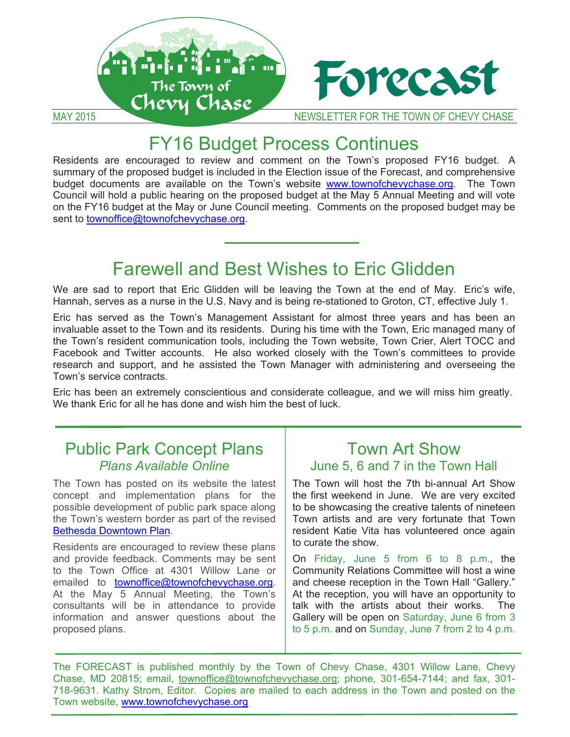

# FY16 Budget Process Continues

Residents are encouraged to review and comment on the Town's proposed FY16 budget. A summary of the proposed budget is included in the Election issue of the Forecast, and comprehensive budget documents are available on the Town's website www.townofchevychase.org. The Town Council will hold a public hearing on the proposed budget at the May 5 Annual Meeting and will vote on the FY16 budget at the May or June Council meeting. Comments on the proposed budget may be sent to townoffice@townofchevychase.org.

# Farewell and Best Wishes to Eric Glidden

We are sad to report that Eric Glidden will be leaving the Town at the end of May. Eric's wife, Hannah, serves as a nurse in the U.S. Navy and is being re-stationed to Groton, CT, effective July 1.

Eric has served as the Town's Management Assistant for almost three years and has been an invaluable asset to the Town and its residents. During his time with the Town, Eric managed many of the Town's resident communication tools, including the Town website, Town Crier, Alert TOCC and Facebook and Twitter accounts. He also worked closely with the Town's committees to provide research and support, and he assisted the Town Manager with administering and overseeing the Town's service contracts.

Eric has been an extremely conscientious and considerate colleague, and we will miss him greatly. We thank Eric for all he has done and wish him the best of luck.

### Public Park Concept Plans *Plans Available Online*

The Town has posted on its website the latest concept and implementation plans for the possible development of public park space along the Town's western border as part of the revised Bethesda Downtown Plan.

Residents are encouraged to review these plans and provide feedback. Comments may be sent to the Town Office at 4301 Willow Lane or emailed to townoffice@townofchevychase.org. At the May 5 Annual Meeting, the Town's consultants will be in attendance to provide information and answer questions about the proposed plans.

### Town Art Show June 5, 6 and 7 in the Town Hall

The Town will host the 7th bi-annual Art Show the first weekend in June. We are very excited to be showcasing the creative talents of nineteen Town artists and are very fortunate that Town resident Katie Vita has volunteered once again to curate the show.

On Friday, June 5 from 6 to 8 p.m., the Community Relations Committee will host a wine and cheese reception in the Town Hall "Gallery." At the reception, you will have an opportunity to talk with the artists about their works. The Gallery will be open on Saturday, June 6 from 3 to 5 p.m. and on Sunday, June 7 from 2 to 4 p.m.

The FORECAST is published monthly by the Town of Chevy Chase, 4301 Willow Lane, Chevy Chase, MD 20815; email, townoffice@townofchevychase.org; phone, 301-654-7144; and fax, 301- 718-9631. Kathy Strom, Editor. Copies are mailed to each address in the Town and posted on the Town website, www.townofchevychase.org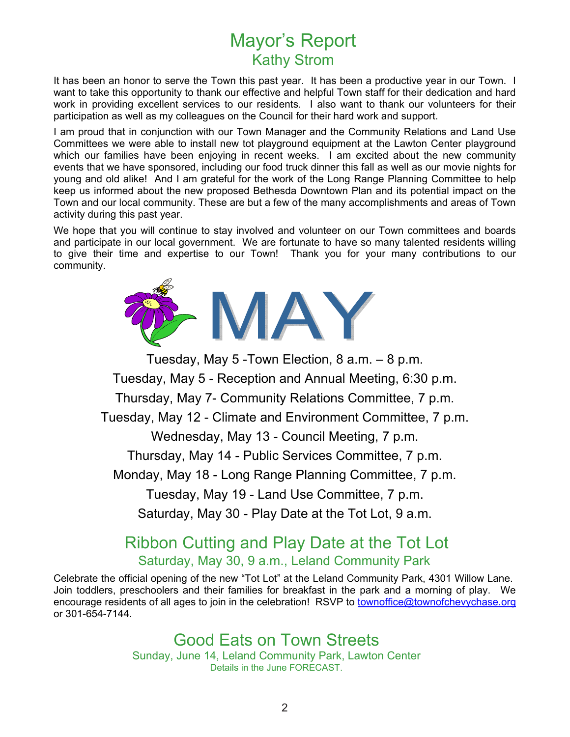## Mayor's Report Kathy Strom

It has been an honor to serve the Town this past year. It has been a productive year in our Town. I want to take this opportunity to thank our effective and helpful Town staff for their dedication and hard work in providing excellent services to our residents. I also want to thank our volunteers for their participation as well as my colleagues on the Council for their hard work and support.

I am proud that in conjunction with our Town Manager and the Community Relations and Land Use Committees we were able to install new tot playground equipment at the Lawton Center playground which our families have been enjoying in recent weeks. I am excited about the new community events that we have sponsored, including our food truck dinner this fall as well as our movie nights for young and old alike! And I am grateful for the work of the Long Range Planning Committee to help keep us informed about the new proposed Bethesda Downtown Plan and its potential impact on the Town and our local community. These are but a few of the many accomplishments and areas of Town activity during this past year.

We hope that you will continue to stay involved and volunteer on our Town committees and boards and participate in our local government. We are fortunate to have so many talented residents willing to give their time and expertise to our Town! Thank you for your many contributions to our community.



Tuesday, May 5 -Town Election, 8 a.m. – 8 p.m. Tuesday, May 5 - Reception and Annual Meeting, 6:30 p.m. Thursday, May 7- Community Relations Committee, 7 p.m. Tuesday, May 12 - Climate and Environment Committee, 7 p.m. Wednesday, May 13 - Council Meeting, 7 p.m. Thursday, May 14 - Public Services Committee, 7 p.m. Monday, May 18 - Long Range Planning Committee, 7 p.m. Tuesday, May 19 - Land Use Committee, 7 p.m. Saturday, May 30 - Play Date at the Tot Lot, 9 a.m.

### Ribbon Cutting and Play Date at the Tot Lot Saturday, May 30, 9 a.m., Leland Community Park

Celebrate the official opening of the new "Tot Lot" at the Leland Community Park, 4301 Willow Lane. Join toddlers, preschoolers and their families for breakfast in the park and a morning of play. We encourage residents of all ages to join in the celebration! RSVP to townoffice@townofchevychase.org or 301-654-7144.

> Good Eats on Town Streets Sunday, June 14, Leland Community Park, Lawton Center Details in the June FORECAST.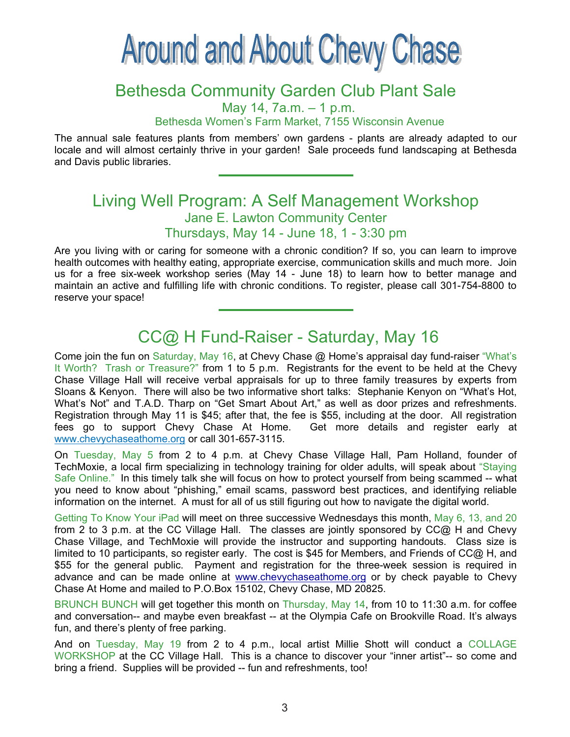# **Around and About Chevy Chase**

# Bethesda Community Garden Club Plant Sale May 14, 7a.m. – 1 p.m.

Bethesda Women's Farm Market, 7155 Wisconsin Avenue

The annual sale features plants from members' own gardens - plants are already adapted to our locale and will almost certainly thrive in your garden! Sale proceeds fund landscaping at Bethesda and Davis public libraries.

### Living Well Program: A Self Management Workshop Jane E. Lawton Community Center Thursdays, May 14 - June 18, 1 - 3:30 pm

Are you living with or caring for someone with a chronic condition? If so, you can learn to improve health outcomes with healthy eating, appropriate exercise, communication skills and much more. Join us for a free six-week workshop series (May 14 - June 18) to learn how to better manage and maintain an active and fulfilling life with chronic conditions. To register, please call 301-754-8800 to reserve your space!

### CC@ H Fund-Raiser - Saturday, May 16

Come join the fun on Saturday, May 16, at Chevy Chase @ Home's appraisal day fund-raiser "What's It Worth? Trash or Treasure?" from 1 to 5 p.m. Registrants for the event to be held at the Chevy Chase Village Hall will receive verbal appraisals for up to three family treasures by experts from Sloans & Kenyon. There will also be two informative short talks: Stephanie Kenyon on "What's Hot, What's Not" and T.A.D. Tharp on "Get Smart About Art," as well as door prizes and refreshments. Registration through May 11 is \$45; after that, the fee is \$55, including at the door. All registration fees go to support Chevy Chase At Home. Get more details and register early at www.chevychaseathome.org or call 301-657-3115.

On Tuesday, May 5 from 2 to 4 p.m. at Chevy Chase Village Hall, Pam Holland, founder of TechMoxie, a local firm specializing in technology training for older adults, will speak about "Staying Safe Online." In this timely talk she will focus on how to protect yourself from being scammed -- what you need to know about "phishing," email scams, password best practices, and identifying reliable information on the internet. A must for all of us still figuring out how to navigate the digital world.

Getting To Know Your iPad will meet on three successive Wednesdays this month, May 6, 13, and 20 from 2 to 3 p.m. at the CC Village Hall. The classes are jointly sponsored by CC@ H and Chevy Chase Village, and TechMoxie will provide the instructor and supporting handouts. Class size is limited to 10 participants, so register early. The cost is \$45 for Members, and Friends of CC@ H, and \$55 for the general public. Payment and registration for the three-week session is required in advance and can be made online at www.chevychaseathome.org or by check payable to Chevy Chase At Home and mailed to P.O.Box 15102, Chevy Chase, MD 20825.

BRUNCH BUNCH will get together this month on Thursday, May 14, from 10 to 11:30 a.m. for coffee and conversation-- and maybe even breakfast -- at the Olympia Cafe on Brookville Road. It's always fun, and there's plenty of free parking.

And on Tuesday, May 19 from 2 to 4 p.m., local artist Millie Shott will conduct a COLLAGE WORKSHOP at the CC Village Hall. This is a chance to discover your "inner artist"-- so come and bring a friend. Supplies will be provided -- fun and refreshments, too!